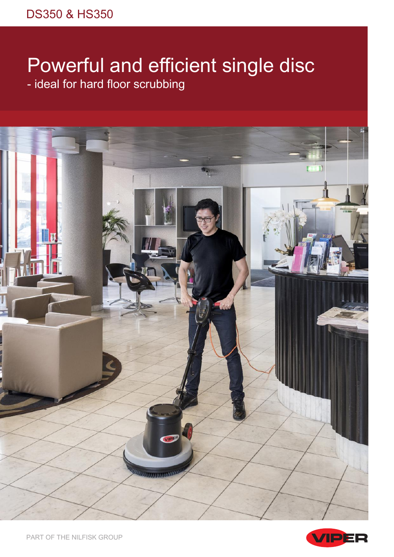# Powerful and efficient single disc - ideal for hard floor scrubbing